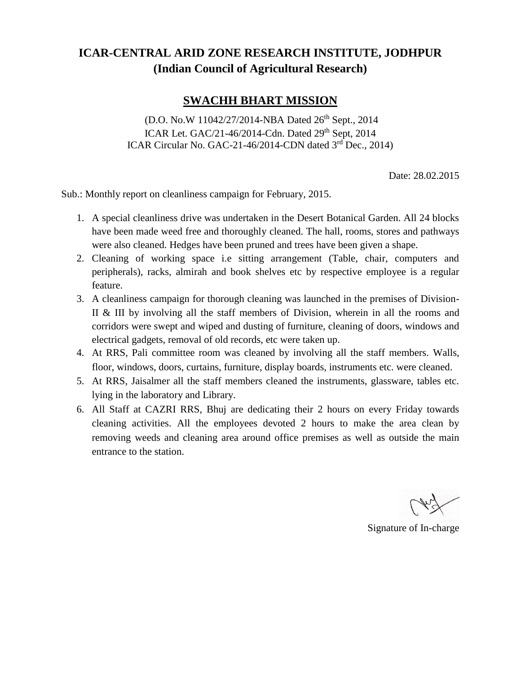## **ICAR-CENTRAL ARID ZONE RESEARCH INSTITUTE, JODHPUR (Indian Council of Agricultural Research)**

## **SWACHH BHART MISSION**

(D.O. No.W 11042/27/2014-NBA Dated 26<sup>th</sup> Sept., 2014) ICAR Let. GAC/21-46/2014-Cdn. Dated 29<sup>th</sup> Sept, 2014 ICAR Circular No. GAC-21-46/2014-CDN dated 3rd Dec., 2014)

Date: 28.02.2015

Sub.: Monthly report on cleanliness campaign for February, 2015.

- 1. A special cleanliness drive was undertaken in the Desert Botanical Garden. All 24 blocks have been made weed free and thoroughly cleaned. The hall, rooms, stores and pathways were also cleaned. Hedges have been pruned and trees have been given a shape.
- 2. Cleaning of working space i.e sitting arrangement (Table, chair, computers and peripherals), racks, almirah and book shelves etc by respective employee is a regular feature.
- 3. A cleanliness campaign for thorough cleaning was launched in the premises of Division-II & III by involving all the staff members of Division, wherein in all the rooms and corridors were swept and wiped and dusting of furniture, cleaning of doors, windows and electrical gadgets, removal of old records, etc were taken up.
- 4. At RRS, Pali committee room was cleaned by involving all the staff members. Walls, floor, windows, doors, curtains, furniture, display boards, instruments etc. were cleaned.
- 5. At RRS, Jaisalmer all the staff members cleaned the instruments, glassware, tables etc. lying in the laboratory and Library.
- 6. All Staff at CAZRI RRS, Bhuj are dedicating their 2 hours on every Friday towards cleaning activities. All the employees devoted 2 hours to make the area clean by removing weeds and cleaning area around office premises as well as outside the main entrance to the station.

Signature of In-charge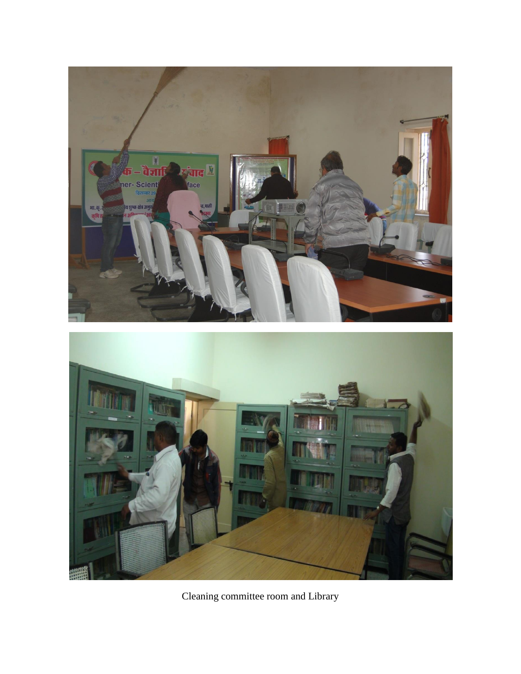

Cleaning committee room and Library